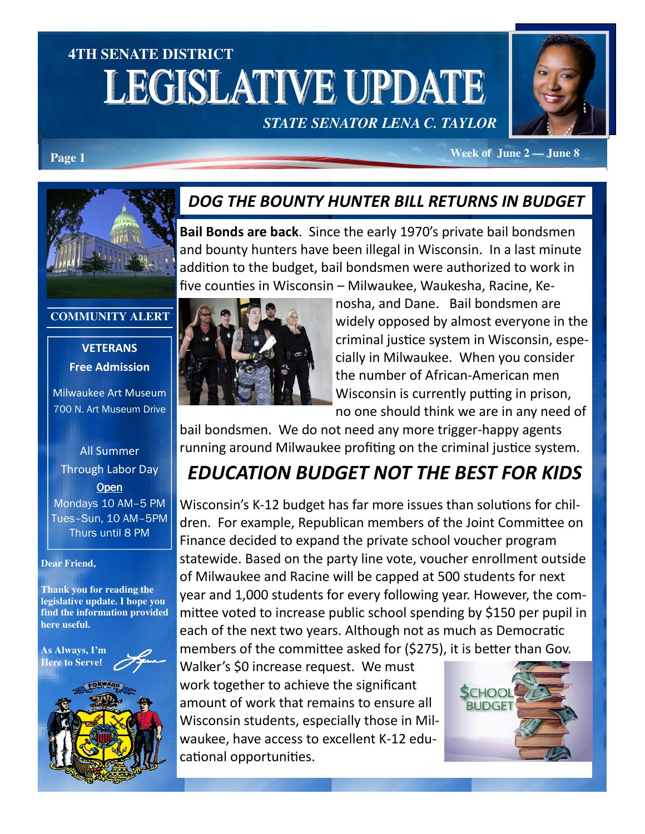# **4TH SENATE DISTRICT LEGISLATIVE UPDATE**





**Page 1** *Page 1 Page 1* **<b>***Page 1 Page 1 Page 1 Page 1 Page 1 Page 1 Page 1 Page 1 Page 1 Page 1 Page 1 Page 1 Page 1 Page 1 Page 1 Page 1 Page 1 Pag* 

#### DOG THE BOUNTY HUNTER BILL RETURNS IN BUDGET

Bail Bonds are back. Since the early 1970's private bail bondsmen and bounty hunters have been illegal in Wisconsin. In a last minute addition to the budget, bail bondsmen were authorized to work in five counties in Wisconsin – Milwaukee, Waukesha, Racine, Ke-

#### **COMMUNITY ALERT**

**VETERANS** Free Admission

Milwaukee Art Museum 700 N. Art Museum Drive

#### All Summer Through Labor Day **Open** Mondays 10 AM–5 PM Tues–Sun, 10 AM–5PM Thurs until 8 PM

#### **Dear Friend,**

**Thank you for reading the legislative update. I hope you find the information provided here useful.** 

**As Always, I'm Here to Serve**!





nosha, and Dane. Bail bondsmen are widely opposed by almost everyone in the criminal justice system in Wisconsin, especially in Milwaukee. When you consider the number of African-American men Wisconsin is currently putting in prison, no one should think we are in any need of

bail bondsmen. We do not need any more trigger-happy agents running around Milwaukee profiting on the criminal justice system.

### EDUCATION BUDGET NOT THE BEST FOR KIDS

Wisconsin's K-12 budget has far more issues than solutions for children. For example, Republican members of the Joint Committee on Finance decided to expand the private school voucher program statewide. Based on the party line vote, voucher enrollment outside of Milwaukee and Racine will be capped at 500 students for next year and 1,000 students for every following year. However, the committee voted to increase public school spending by \$150 per pupil in each of the next two years. Although not as much as Democratic members of the committee asked for (\$275), it is better than Gov.

Walker's \$0 increase request. We must work together to achieve the significant amount of work that remains to ensure all Wisconsin students, especially those in Milwaukee, have access to excellent K-12 educational opportunities.